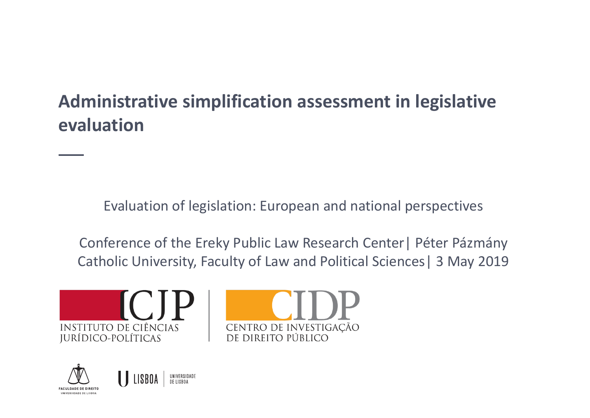### **Administrative simplification assessment in legislative evaluation**

Evaluation of legislation: European and national perspectives

Conference of the Ereky Public Law Research Center| Péter Pázmány Catholic University, Faculty of Law and Political Sciences| 3 May 2019





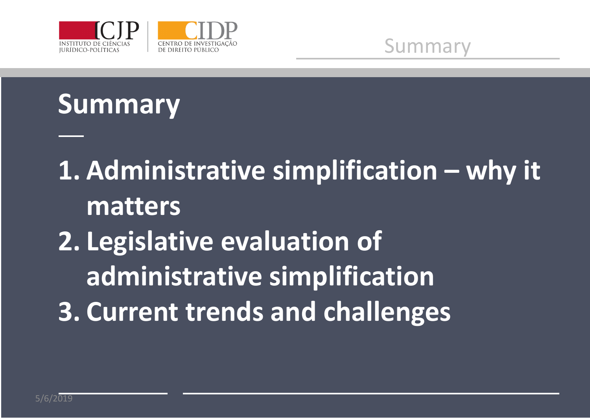

Summary

## **Summary**

**1. Administrative simplification – why it matters 2. Legislative evaluation of administrative simplification 3. Current trends and challenges**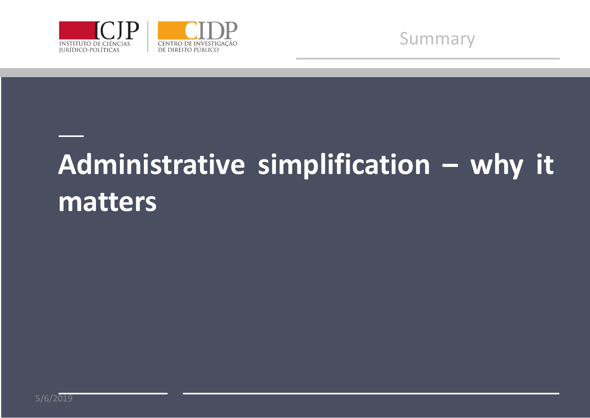



# **Administrative simplification – why it matters**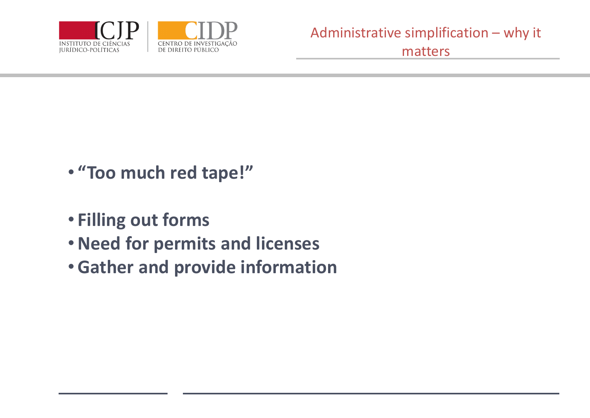

- **"Too much red tape!"**
- **Filling out forms**
- •**Need for permits and licenses**
- •**Gather and provide information**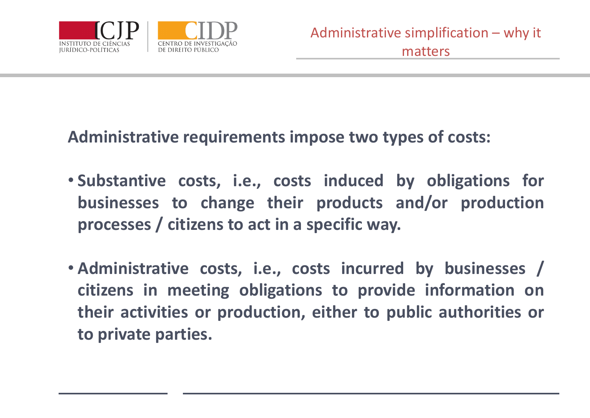

#### **Administrative requirements impose two types of costs:**

- **Substantive costs, i.e., costs induced by obligations for businesses to change their products and/or production processes / citizens to act in a specific way.**
- **Administrative costs, i.e., costs incurred by businesses / citizens in meeting obligations to provide information on their activities or production, either to public authorities or to private parties.**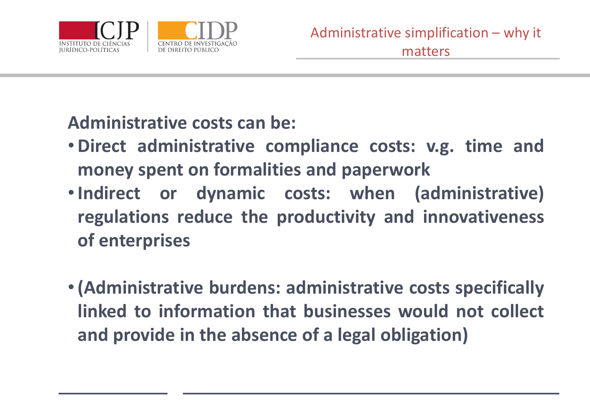

**Administrative costs can be:**

- •**Direct administrative compliance costs: v.g. time and money spent on formalities and paperwork**
- •**Indirect or dynamic costs: when (administrative) regulations reduce the productivity and innovativeness of enterprises**
- •**(Administrative burdens: administrative costs specifically linked to information that businesses would not collect and provide in the absence of a legal obligation)**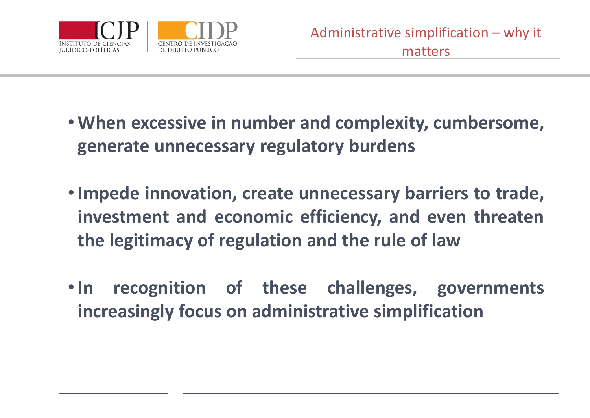

- **When excessive in number and complexity, cumbersome, generate unnecessary regulatory burdens**
- •**Impede innovation, create unnecessary barriers to trade, investment and economic efficiency, and even threaten the legitimacy of regulation and the rule of law**
- •**In recognition of these challenges, governments increasingly focus on administrative simplification**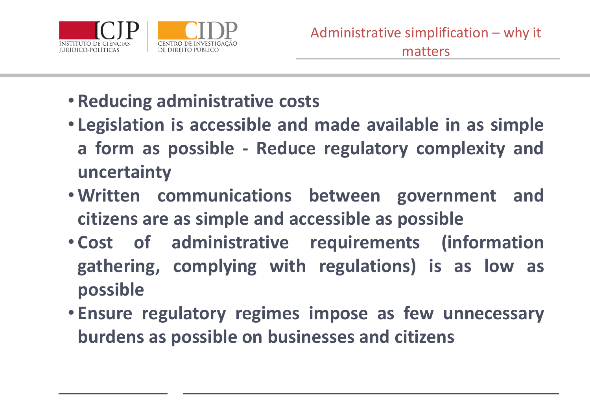

- **Reducing administrative costs**
- **Legislation is accessible and made available in as simple a form as possible - Reduce regulatory complexity and uncertainty**
- **Written communications between government and citizens are as simple and accessible as possible**
- **Cost of administrative requirements (information gathering, complying with regulations) is as low as possible**
- **Ensure regulatory regimes impose as few unnecessary burdens as possible on businesses and citizens**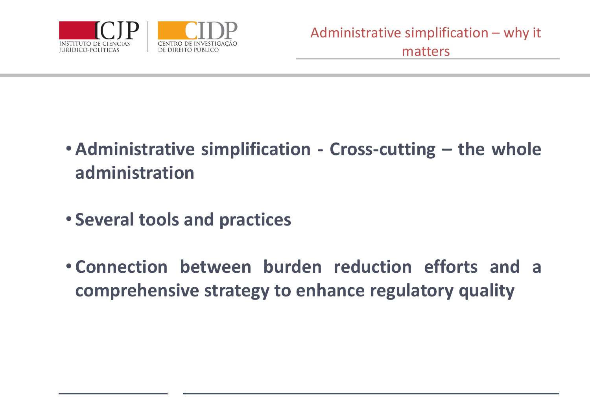

- **Administrative simplification - Cross-cutting – the whole administration**
- **Several tools and practices**
- **Connection between burden reduction efforts and a comprehensive strategy to enhance regulatory quality**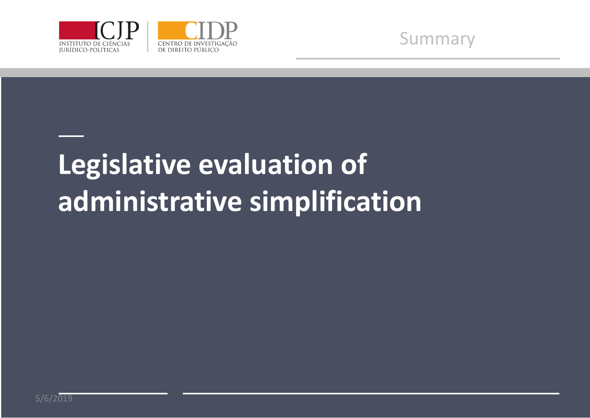



# **Legislative evaluation of administrative simplification**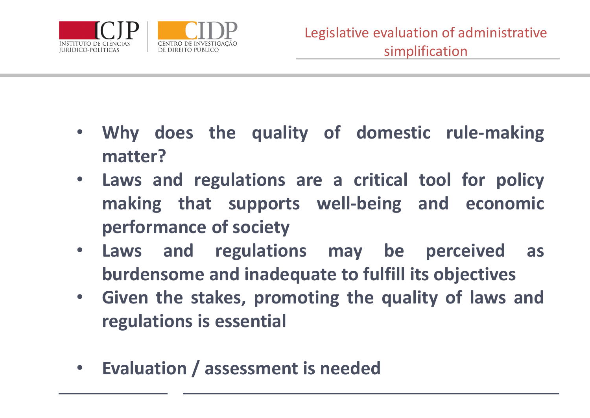

- **Why does the quality of domestic rule-making matter?**
- **Laws and regulations are a critical tool for policy making that supports well-being and economic performance of society**
- **Laws and regulations may be perceived as burdensome and inadequate to fulfill its objectives**
- **Given the stakes, promoting the quality of laws and regulations is essential**
- **Evaluation / assessment is needed**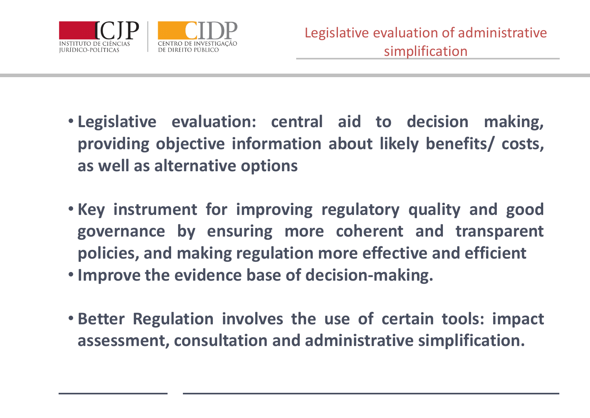

- **Legislative evaluation: central aid to decision making, providing objective information about likely benefits/ costs, as well as alternative options**
- **Key instrument for improving regulatory quality and good governance by ensuring more coherent and transparent policies, and making regulation more effective and efficient**
- **Improve the evidence base of decision-making.**
- **Better Regulation involves the use of certain tools: impact assessment, consultation and administrative simplification.**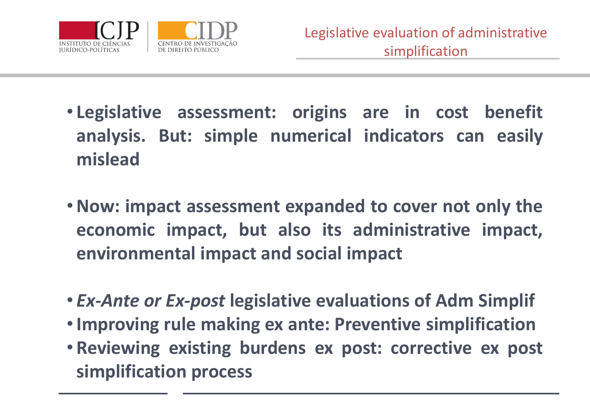

 $\hat{\mathbf{r}}$ 

- **Legislative assessment: origins are in cost benefit analysis. But: simple numerical indicators can easily mislead**
- •**Now: impact assessment expanded to cover not only the economic impact, but also its administrative impact, environmental impact and social impact**
- *Ex-Ante or Ex-post* **legislative evaluations of Adm Simplif**
- •**Improving rule making ex ante: Preventive simplification**
- **Reviewing existing burdens ex post: corrective ex post simplification process**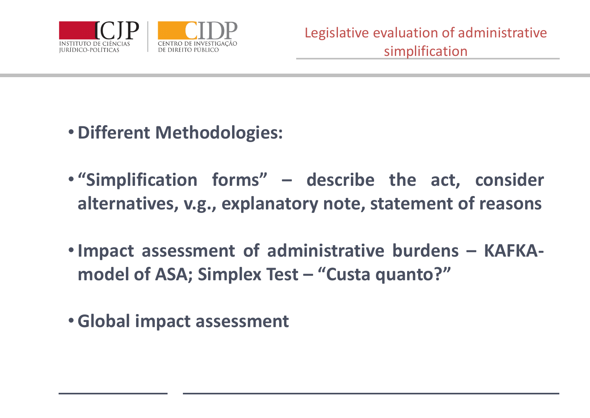

- •**Different Methodologies:**
	- **"Simplification forms" – describe the act, consider alternatives, v.g., explanatory note, statement of reasons**
	- •**Impact assessment of administrative burdens – KAFKAmodel of ASA; Simplex Test – "Custa quanto?"**
	- •**Global impact assessment**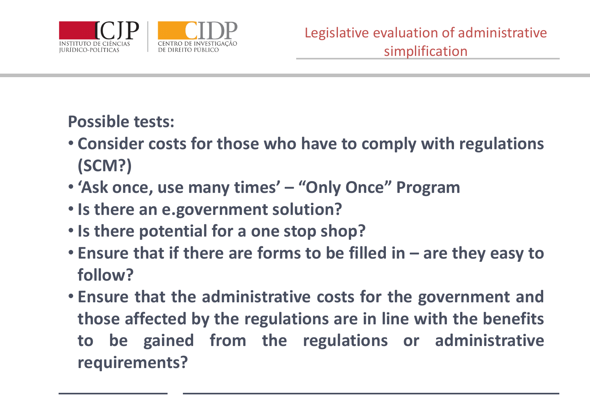

#### **Possible tests:**

- **Consider costs for those who have to comply with regulations (SCM?)**
- **'Ask once, use many times' – "Only Once" Program**
- **Is there an e.government solution?**
- **Is there potential for a one stop shop?**
- **Ensure that if there are forms to be filled in – are they easy to follow?**
- **Ensure that the administrative costs for the government and those affected by the regulations are in line with the benefits to be gained from the regulations or administrative requirements?**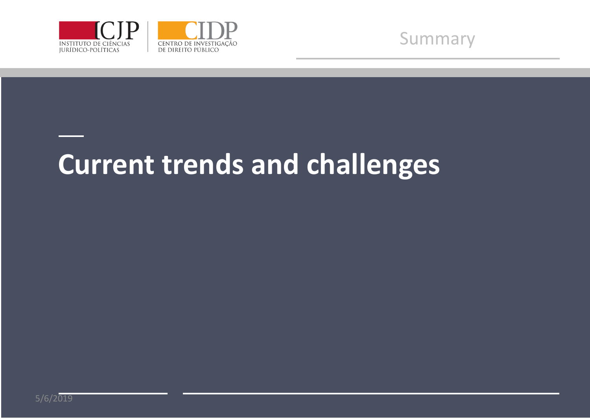



## **Current trends and challenges**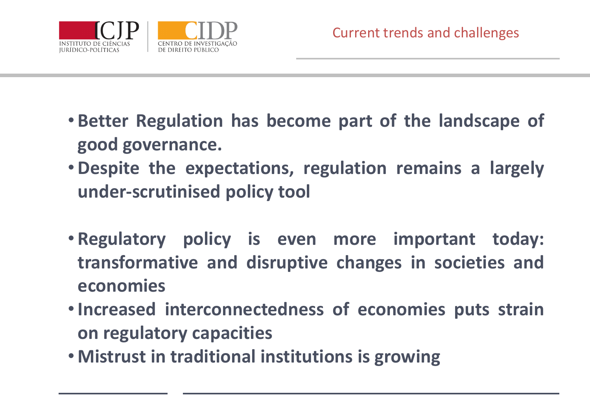

- **Better Regulation has become part of the landscape of good governance.**
- •**Despite the expectations, regulation remains a largely under-scrutinised policy tool**
- **Regulatory policy is even more important today: transformative and disruptive changes in societies and economies**
- •**Increased interconnectedness of economies puts strain on regulatory capacities**
- **Mistrust in traditional institutions is growing**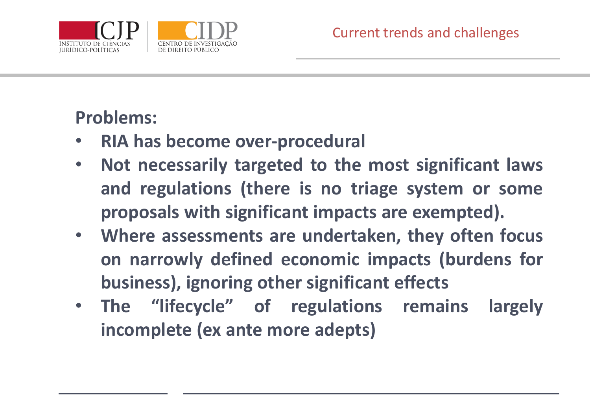

### **Problems:**

- **RIA has become over-procedural**
- **Not necessarily targeted to the most significant laws and regulations (there is no triage system or some proposals with significant impacts are exempted).**
- **Where assessments are undertaken, they often focus on narrowly defined economic impacts (burdens for business), ignoring other significant effects**
- **The "lifecycle" of regulations remains largely incomplete (ex ante more adepts)**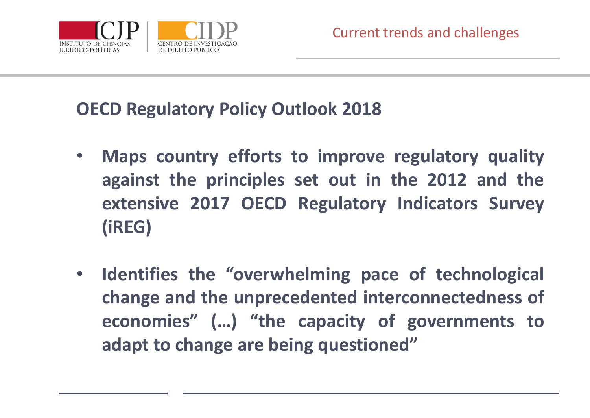

### **OECD Regulatory Policy Outlook 2018**

- **Maps country efforts to improve regulatory quality against the principles set out in the 2012 and the extensive 2017 OECD Regulatory Indicators Survey (iREG)**
- **Identifies the "overwhelming pace of technological change and the unprecedented interconnectedness of economies" (…) "the capacity of governments to adapt to change are being questioned"**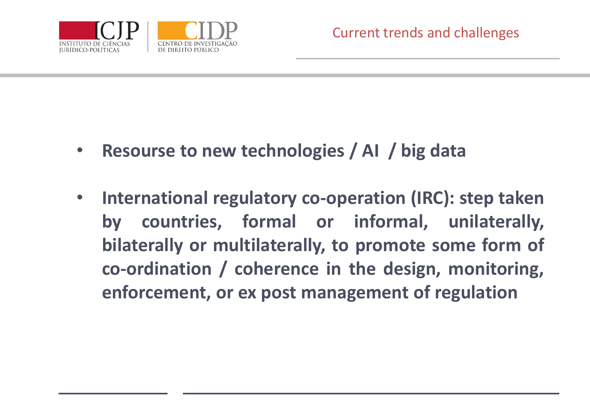

- **Resourse to new technologies / AI / big data**
- **International regulatory co-operation (IRC): step taken by countries, formal or informal, unilaterally, bilaterally or multilaterally, to promote some form of co-ordination / coherence in the design, monitoring, enforcement, or ex post management of regulation**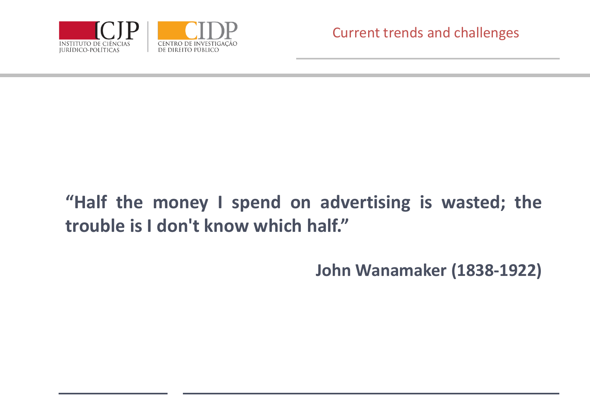

### **"Half the money I spend on advertising is wasted; the trouble is I don't know which half."**

**John Wanamaker (1838-1922)**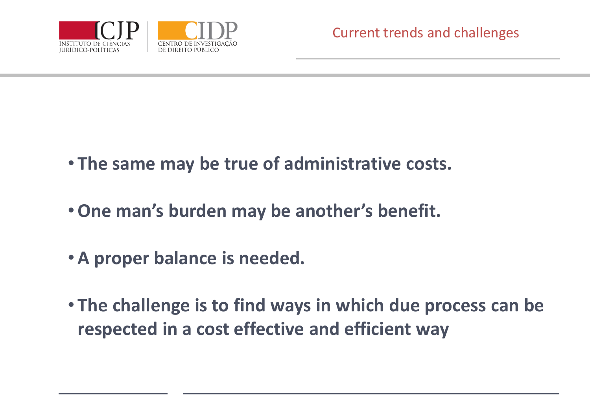

- **The same may be true of administrative costs.**
- •**One man's burden may be another's benefit.**
- **A proper balance is needed.**
- **The challenge is to find ways in which due process can be respected in a cost effective and efficient way**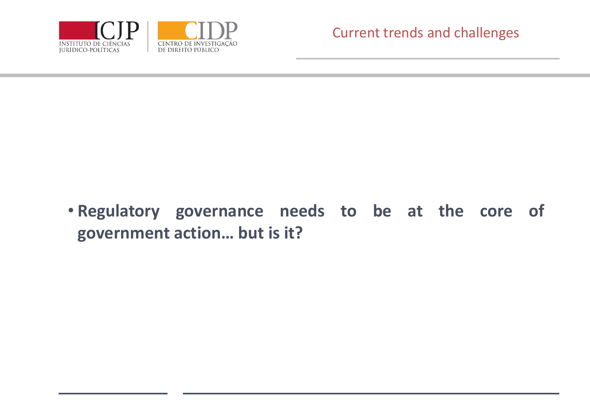

• **Regulatory governance needs to be at the core of government action… but is it?**